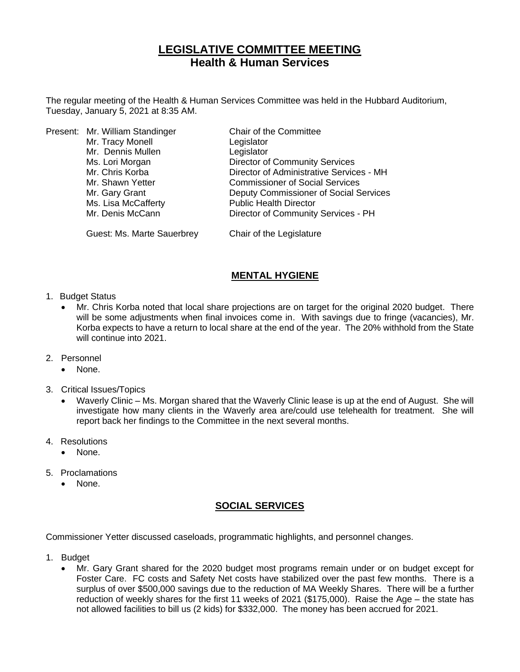# **LEGISLATIVE COMMITTEE MEETING Health & Human Services**

The regular meeting of the Health & Human Services Committee was held in the Hubbard Auditorium, Tuesday, January 5, 2021 at 8:35 AM.

|  | Present: Mr. William Standinger | Chair of the Committee                   |
|--|---------------------------------|------------------------------------------|
|  | Mr. Tracy Monell                | Legislator                               |
|  | Mr. Dennis Mullen               | Legislator                               |
|  | Ms. Lori Morgan                 | <b>Director of Community Services</b>    |
|  | Mr. Chris Korba                 | Director of Administrative Services - MH |
|  | Mr. Shawn Yetter                | <b>Commissioner of Social Services</b>   |
|  | Mr. Gary Grant                  | Deputy Commissioner of Social Services   |
|  | Ms. Lisa McCafferty             | <b>Public Health Director</b>            |
|  | Mr. Denis McCann                | Director of Community Services - PH      |
|  |                                 |                                          |

Guest: Ms. Marte Sauerbrey Chair of the Legislature

## **MENTAL HYGIENE**

- 1. Budget Status
	- Mr. Chris Korba noted that local share projections are on target for the original 2020 budget. There will be some adjustments when final invoices come in. With savings due to fringe (vacancies), Mr. Korba expects to have a return to local share at the end of the year. The 20% withhold from the State will continue into 2021.
- 2. Personnel
	- None.
- 3. Critical Issues/Topics
	- Waverly Clinic Ms. Morgan shared that the Waverly Clinic lease is up at the end of August. She will investigate how many clients in the Waverly area are/could use telehealth for treatment. She will report back her findings to the Committee in the next several months.
- 4. Resolutions
	- None.
- 5. Proclamations
	- None.

#### **SOCIAL SERVICES**

Commissioner Yetter discussed caseloads, programmatic highlights, and personnel changes.

- 1. Budget
	- Mr. Gary Grant shared for the 2020 budget most programs remain under or on budget except for Foster Care. FC costs and Safety Net costs have stabilized over the past few months. There is a surplus of over \$500,000 savings due to the reduction of MA Weekly Shares. There will be a further reduction of weekly shares for the first 11 weeks of 2021 (\$175,000). Raise the Age – the state has not allowed facilities to bill us (2 kids) for \$332,000. The money has been accrued for 2021.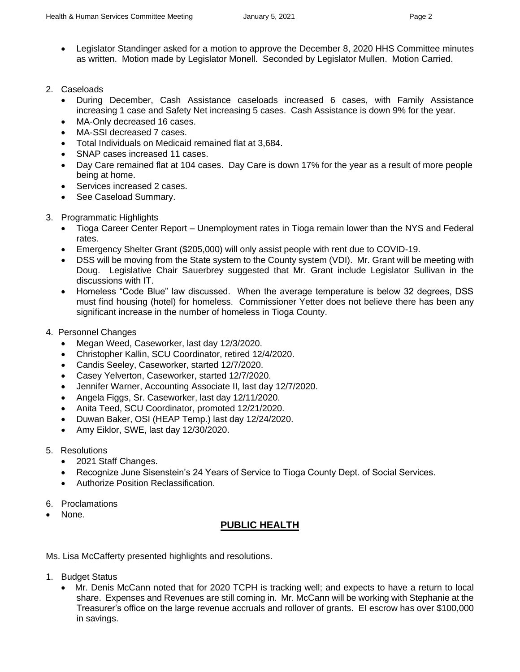• Legislator Standinger asked for a motion to approve the December 8, 2020 HHS Committee minutes as written. Motion made by Legislator Monell. Seconded by Legislator Mullen. Motion Carried.

### 2. Caseloads

- During December, Cash Assistance caseloads increased 6 cases, with Family Assistance increasing 1 case and Safety Net increasing 5 cases. Cash Assistance is down 9% for the year.
- MA-Only decreased 16 cases.
- MA-SSI decreased 7 cases.
- Total Individuals on Medicaid remained flat at 3,684.
- SNAP cases increased 11 cases.
- Day Care remained flat at 104 cases. Day Care is down 17% for the year as a result of more people being at home.
- Services increased 2 cases.
- See Caseload Summary.
- 3. Programmatic Highlights
	- Tioga Career Center Report Unemployment rates in Tioga remain lower than the NYS and Federal rates.
	- Emergency Shelter Grant (\$205,000) will only assist people with rent due to COVID-19.
	- DSS will be moving from the State system to the County system (VDI). Mr. Grant will be meeting with Doug. Legislative Chair Sauerbrey suggested that Mr. Grant include Legislator Sullivan in the discussions with IT.
	- Homeless "Code Blue" law discussed. When the average temperature is below 32 degrees, DSS must find housing (hotel) for homeless. Commissioner Yetter does not believe there has been any significant increase in the number of homeless in Tioga County.
- 4. Personnel Changes
	- Megan Weed, Caseworker, last day 12/3/2020.
	- Christopher Kallin, SCU Coordinator, retired 12/4/2020.
	- Candis Seeley, Caseworker, started 12/7/2020.
	- Casey Yelverton, Caseworker, started 12/7/2020.
	- Jennifer Warner, Accounting Associate II, last day 12/7/2020.
	- Angela Figgs, Sr. Caseworker, last day 12/11/2020.
	- Anita Teed, SCU Coordinator, promoted 12/21/2020.
	- Duwan Baker, OSI (HEAP Temp.) last day 12/24/2020.
	- Amy Eiklor, SWE, last day 12/30/2020.
- 5. Resolutions
	- 2021 Staff Changes.
	- Recognize June Sisenstein's 24 Years of Service to Tioga County Dept. of Social Services.
	- Authorize Position Reclassification.
- 6. Proclamations
- None.

# **PUBLIC HEALTH**

Ms. Lisa McCafferty presented highlights and resolutions.

- 1. Budget Status
	- Mr. Denis McCann noted that for 2020 TCPH is tracking well; and expects to have a return to local share. Expenses and Revenues are still coming in. Mr. McCann will be working with Stephanie at the Treasurer's office on the large revenue accruals and rollover of grants. EI escrow has over \$100,000 in savings.